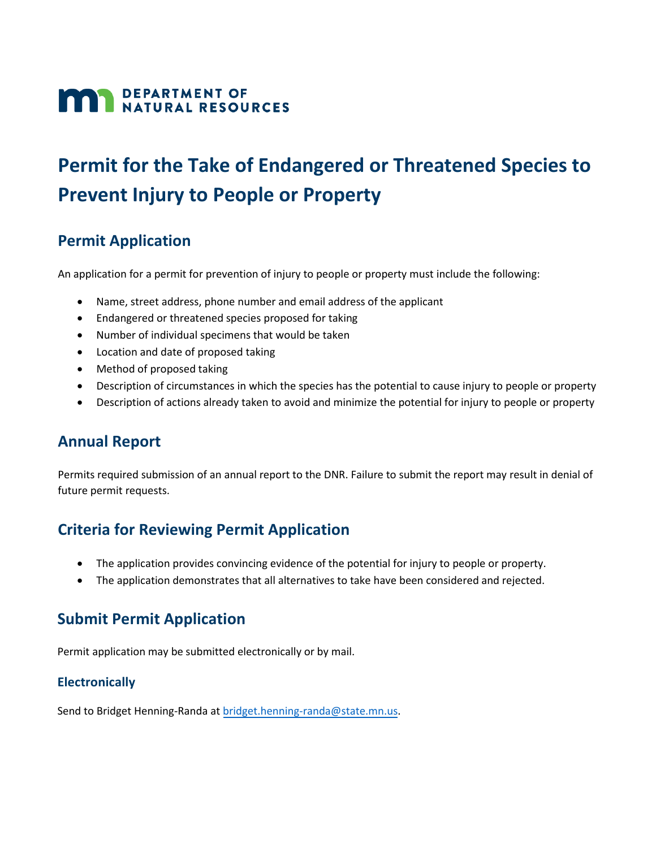# **MAN** DEPARTMENT OF NATURAL RESOURCES

## **Permit for the Take of Endangered or Threatened Species to Prevent Injury to People or Property**

#### **Permit Application**

An application for a permit for prevention of injury to people or property must include the following:

- Name, street address, phone number and email address of the applicant
- Endangered or threatened species proposed for taking
- Number of individual specimens that would be taken
- Location and date of proposed taking
- Method of proposed taking
- Description of circumstances in which the species has the potential to cause injury to people or property
- Description of actions already taken to avoid and minimize the potential for injury to people or property

#### **Annual Report**

Permits required submission of an annual report to the DNR. Failure to submit the report may result in denial of future permit requests.

#### **Criteria for Reviewing Permit Application**

- The application provides convincing evidence of the potential for injury to people or property.
- The application demonstrates that all alternatives to take have been considered and rejected.

#### **Submit Permit Application**

Permit application may be submitted electronically or by mail.

#### **Electronically**

Send to Bridget Henning-Randa at [bridget.henning-randa](mailto:bridget.henning-randa@state.mn.us)@state.mn.us.